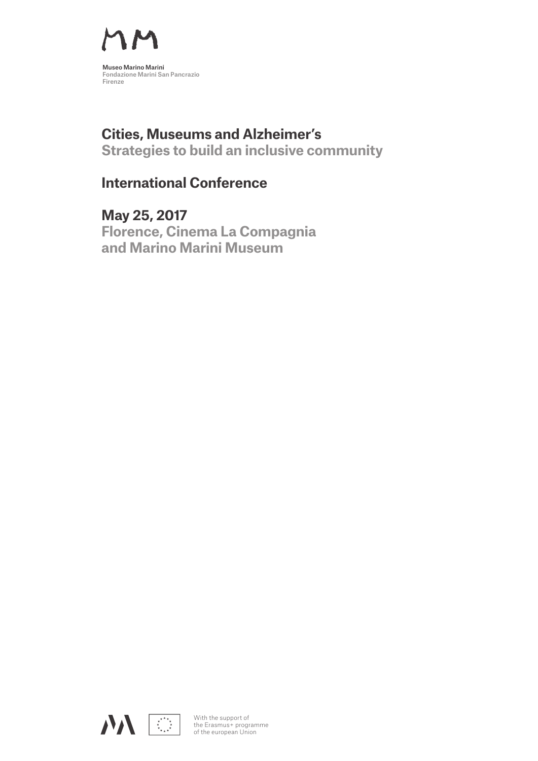

# **Cities, Museums and Alzheimer's**

**Strategies to build an inclusive community**

## **International Conference**

**May 25, 2017 Florence, Cinema La Compagnia and Marino Marini Museum**



With the support of the Erasmus+ programme of the european Union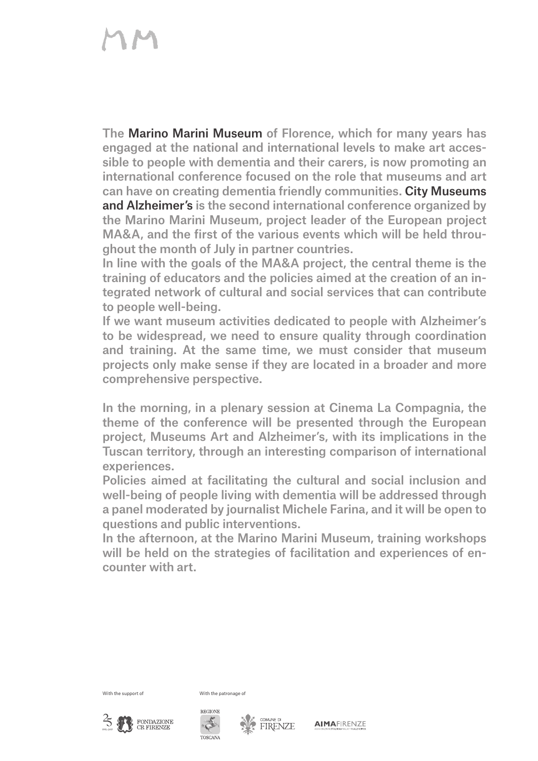The Marino Marini Museum of Florence, which for many years has engaged at the national and international levels to make art accessible to people with dementia and their carers, is now promoting an international conference focused on the role that museums and art can have on creating dementia friendly communities. City Museums and Alzheimer's is the second international conference organized by the Marino Marini Museum, project leader of the European project MA&A, and the first of the various events which will be held throughout the month of July in partner countries.

In line with the goals of the MA&A project, the central theme is the training of educators and the policies aimed at the creation of an integrated network of cultural and social services that can contribute to people well-being.

If we want museum activities dedicated to people with Alzheimer's to be widespread, we need to ensure quality through coordination and training. At the same time, we must consider that museum projects only make sense if they are located in a broader and more comprehensive perspective.

In the morning, in a plenary session at Cinema La Compagnia, the theme of the conference will be presented through the European project, Museums Art and Alzheimer's, with its implications in the Tuscan territory, through an interesting comparison of international experiences.

Policies aimed at facilitating the cultural and social inclusion and well-being of people living with dementia will be addressed through a panel moderated by journalist Michele Farina, and it will be open to questions and public interventions.

In the afternoon, at the Marino Marini Museum, training workshops will be held on the strategies of facilitation and experiences of encounter with art.

With the support of With the patronage of







**AIMAFIRENZE**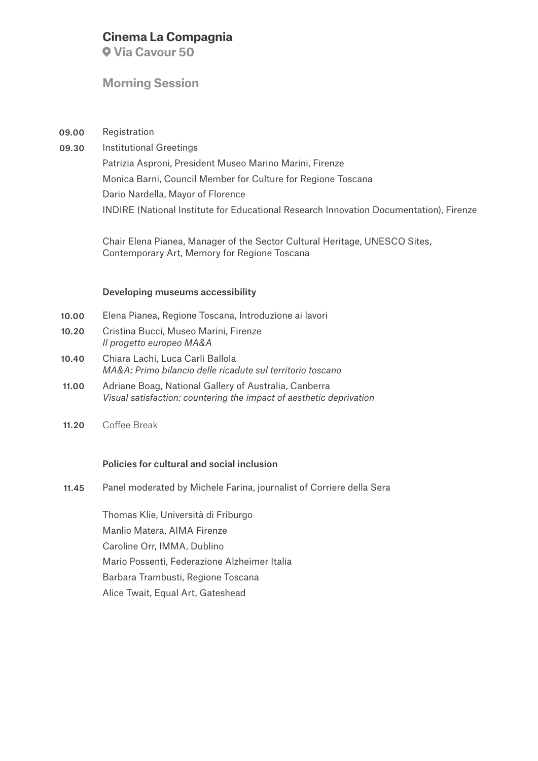#### **Cinema La Compagnia**

 **Via Cavour 50**

#### **Morning Session**

Registration 09.00

Institutional Greetings 09.30

Patrizia Asproni, President Museo Marino Marini, Firenze Monica Barni, Council Member for Culture for Regione Toscana Dario Nardella, Mayor of Florence INDIRE (National Institute for Educational Research Innovation Documentation), Firenze

Chair Elena Pianea, Manager of the Sector Cultural Heritage, UNESCO Sites, Contemporary Art, Memory for Regione Toscana

#### Developing museums accessibility

- Elena Pianea, Regione Toscana, Introduzione ai lavori 10.00
- Cristina Bucci, Museo Marini, Firenze *Il progetto europeo MA&A*  10.20
- Chiara Lachi, Luca Carli Ballola *MA&A: Primo bilancio delle ricadute sul territorio toscano* 10.40
- Adriane Boag, National Gallery of Australia, Canberra *Visual satisfaction: countering the impact of aesthetic deprivation* 11.00
- Coffee Break 11.20

#### Policies for cultural and social inclusion

Panel moderated by Michele Farina, journalist of Corriere della Sera 11.45

> Thomas Klie, Università di Friburgo Manlio Matera, AIMA Firenze Caroline Orr, IMMA, Dublino Mario Possenti, Federazione Alzheimer Italia Barbara Trambusti, Regione Toscana Alice Twait, Equal Art, Gateshead